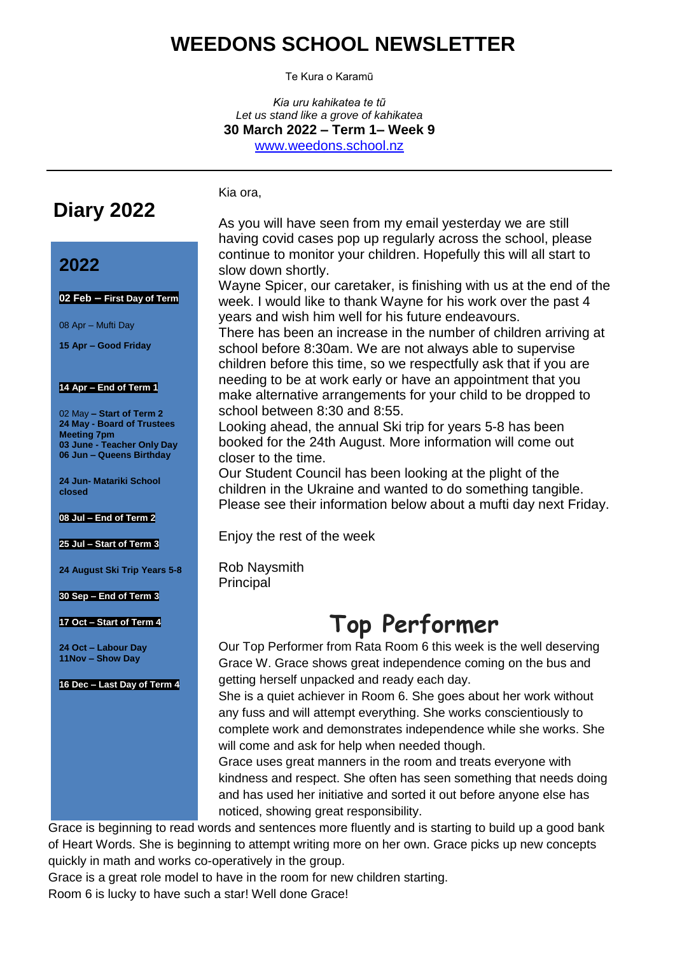## **WEEDONS SCHOOL NEWSLETTER**

Te Kura o Karamū

*Kia uru kahikatea te tũ Let us stand like a grove of kahikatea* **30 March 2022 – Term 1– Week 9** [www.weedons.school.nz](http://www.weedons.school.nz/)

# **Diary 2022**

## **2022**

**02 Feb – First Day of Term**

08 Apr – Mufti Day

**15 Apr – Good Friday**

#### **14 Apr – End of Term 1**

02 May **– Start of Term 2 24 May - Board of Trustees Meeting 7pm 03 June - Teacher Only Day 06 Jun – Queens Birthday**

**24 Jun- Matariki School closed**

**08 Jul – End of Term 2**

**25 Jul – Start of Term 3**

**24 August Ski Trip Years 5-8**

**30 Sep – End of Term 3**

#### **17 Oct – Start of Term 4**

**24 Oct – Labour Day 11Nov – Show Day**

**16 Dec – Last Day of Term 4**

Kia ora,

As you will have seen from my email yesterday we are still having covid cases pop up regularly across the school, please continue to monitor your children. Hopefully this will all start to slow down shortly.

Wayne Spicer, our caretaker, is finishing with us at the end of the week. I would like to thank Wayne for his work over the past 4 years and wish him well for his future endeavours.

There has been an increase in the number of children arriving at school before 8:30am. We are not always able to supervise children before this time, so we respectfully ask that if you are needing to be at work early or have an appointment that you make alternative arrangements for your child to be dropped to school between 8:30 and 8:55.

Looking ahead, the annual Ski trip for years 5-8 has been booked for the 24th August. More information will come out closer to the time.

Our Student Council has been looking at the plight of the children in the Ukraine and wanted to do something tangible. Please see their information below about a mufti day next Friday.

Enjoy the rest of the week

Rob Naysmith Principal

# **Top Performer**

Our Top Performer from Rata Room 6 this week is the well deserving Grace W. Grace shows great independence coming on the bus and getting herself unpacked and ready each day.

She is a quiet achiever in Room 6. She goes about her work without any fuss and will attempt everything. She works conscientiously to complete work and demonstrates independence while she works. She will come and ask for help when needed though.

Grace uses great manners in the room and treats everyone with kindness and respect. She often has seen something that needs doing and has used her initiative and sorted it out before anyone else has noticed, showing great responsibility.

Grace is beginning to read words and sentences more fluently and is starting to build up a good bank of Heart Words. She is beginning to attempt writing more on her own. Grace picks up new concepts quickly in math and works co-operatively in the group.

Grace is a great role model to have in the room for new children starting.

Room 6 is lucky to have such a star! Well done Grace!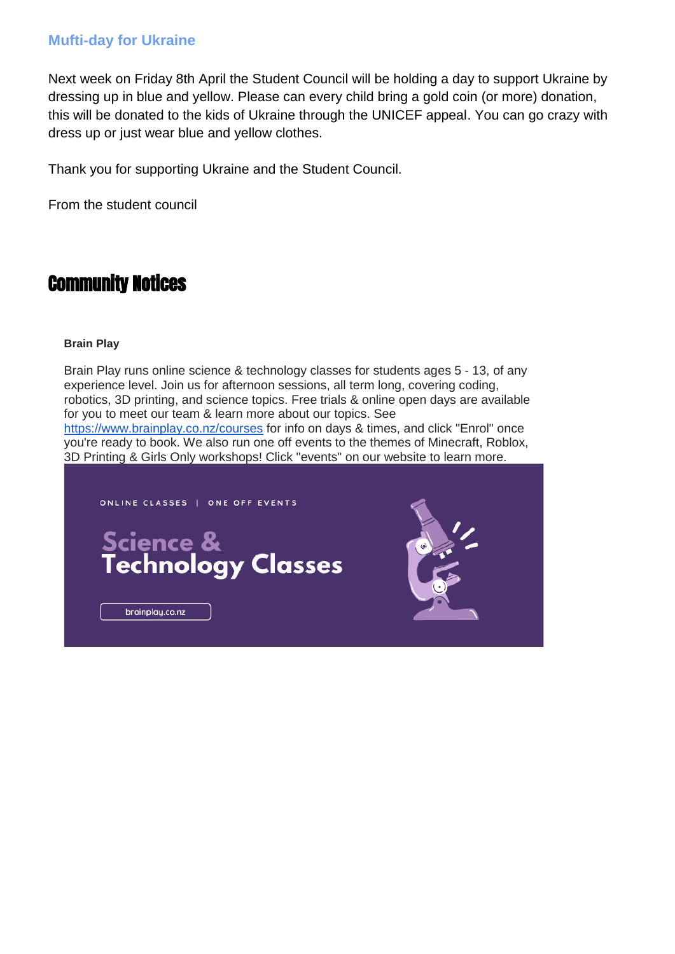### **Mufti-day for Ukraine**

Next week on Friday 8th April the Student Council will be holding a day to support Ukraine by dressing up in blue and yellow. Please can every child bring a gold coin (or more) donation, this will be donated to the kids of Ukraine through the UNICEF appeal. You can go crazy with dress up or just wear blue and yellow clothes.

Thank you for supporting Ukraine and the Student Council.

From the student council

## Community Notices

#### **Brain Play**

Brain Play runs online science & technology classes for students ages 5 - 13, of any experience level. Join us for afternoon sessions, all term long, covering coding, robotics, 3D printing, and science topics. Free trials & online open days are available for you to meet our team & learn more about our topics. See <https://www.brainplay.co.nz/courses> for info on days & times, and click "Enrol" once you're ready to book. We also run one off events to the themes of Minecraft, Roblox, 3D Printing & Girls Only workshops! Click "events" on our website to learn more.